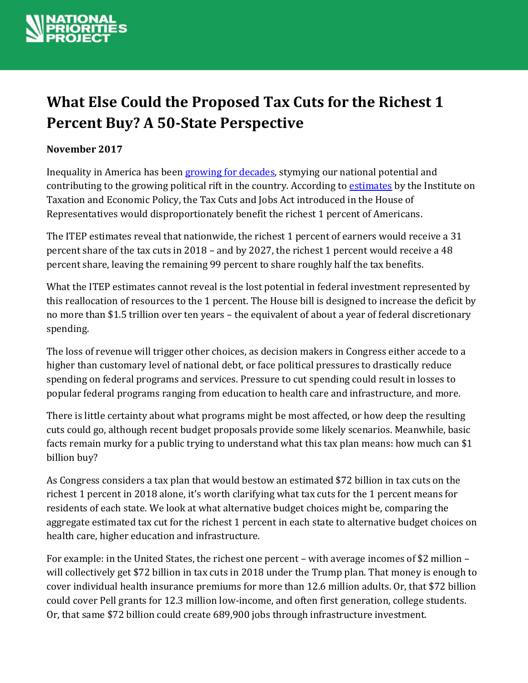

# **What Else Could the Proposed Tax Cuts for the Richest 1 Percent Buy? A 50-State Perspective**

### **November 2017**

Inequality in America has been [growing for decades,](https://inequality.org/facts/income-inequality/) stymying our national potential and contributing to the growing political rift in the country. According to [estimates](https://itep.org/housetaxplan/) by the Institute on Taxation and Economic Policy, the Tax Cuts and Jobs Act introduced in the House of Representatives would disproportionately benefit the richest 1 percent of Americans.

The ITEP estimates reveal that nationwide, the richest 1 percent of earners would receive a 31 percent share of the tax cuts in 2018 – and by 2027, the richest 1 percent would receive a 48 percent share, leaving the remaining 99 percent to share roughly half the tax benefits.

What the ITEP estimates cannot reveal is the lost potential in federal investment represented by this reallocation of resources to the 1 percent. The House bill is designed to increase the deficit by no more than \$1.5 trillion over ten years – the equivalent of about a year of federal discretionary spending.

The loss of revenue will trigger other choices, as decision makers in Congress either accede to a higher than customary level of national debt, or face political pressures to drastically reduce spending on federal programs and services. Pressure to cut spending could result in losses to popular federal programs ranging from education to health care and infrastructure, and more.

There is little certainty about what programs might be most affected, or how deep the resulting cuts could go, although recent budget proposals provide some likely scenarios. Meanwhile, basic facts remain murky for a public trying to understand what this tax plan means: how much can \$1 billion buy?

As Congress considers a tax plan that would bestow an estimated \$72 billion in tax cuts on the richest 1 percent in 2018 alone, it's worth clarifying what tax cuts for the 1 percent means for residents of each state. We look at what alternative budget choices might be, comparing the aggregate estimated tax cut for the richest 1 percent in each state to alternative budget choices on health care, higher education and infrastructure.

For example: in the United States, the richest one percent – with average incomes of \$2 million – will collectively get \$72 billion in tax cuts in 2018 under the Trump plan. That money is enough to cover individual health insurance premiums for more than 12.6 million adults. Or, that \$72 billion could cover Pell grants for 12.3 million low-income, and often first generation, college students. Or, that same \$72 billion could create 689,900 jobs through infrastructure investment.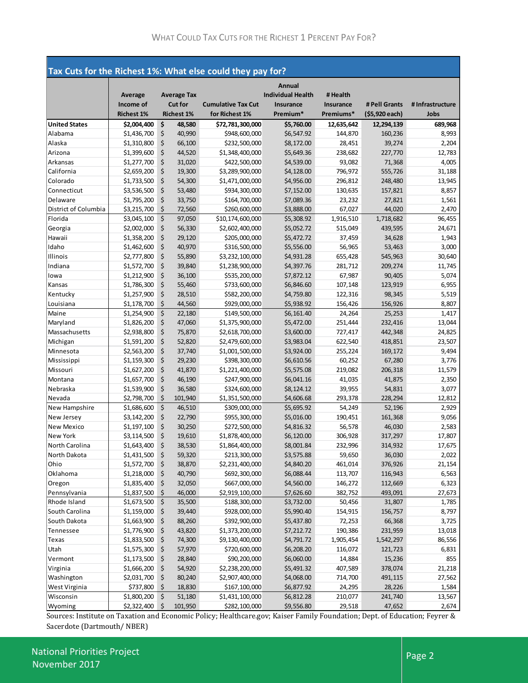| Tax Cuts for the Richest 1%: What else could they pay for? |                   |    |                    |                           |                          |                  |                |                 |
|------------------------------------------------------------|-------------------|----|--------------------|---------------------------|--------------------------|------------------|----------------|-----------------|
|                                                            |                   |    |                    |                           | Annual                   |                  |                |                 |
|                                                            | <b>Average</b>    |    | <b>Average Tax</b> |                           | <b>Individual Health</b> | # Health         |                |                 |
|                                                            | Income of         |    | <b>Cut for</b>     | <b>Cumulative Tax Cut</b> | Insurance                | <b>Insurance</b> | # Pell Grants  | #Infrastructure |
|                                                            | <b>Richest 1%</b> |    | <b>Richest 1%</b>  | for Richest 1%            | Premium*                 | Premiums*        | (\$5,920 each) | Jobs            |
| <b>United States</b>                                       | \$2,004,400       | \$ | 48,580             | \$72,781,300,000          | \$5,760.00               | 12,635,642       | 12,294,139     | 689,968         |
| Alabama                                                    | \$1,436,700       | \$ | 40,990             | \$948,600,000             | \$6,547.92               | 144,870          | 160,236        | 8,993           |
| Alaska                                                     | \$1,310,800       | \$ | 66,100             | \$232,500,000             | \$8,172.00               | 28,451           | 39,274         | 2,204           |
| Arizona                                                    | \$1,399,600       | \$ | 44,520             | \$1,348,400,000           | \$5,649.36               | 238,682          | 227,770        | 12,783          |
| Arkansas                                                   | \$1,277,700       | \$ | 31,020             | \$422,500,000             | \$4,539.00               | 93,082           | 71,368         | 4,005           |
| California                                                 | \$2,659,200       | \$ | 19,300             | \$3,289,900,000           | \$4,128.00               | 796,972          | 555,726        | 31,188          |
| Colorado                                                   | \$1,733,500       | \$ | 54,300             | \$1,471,000,000           | \$4,956.00               | 296,812          | 248,480        | 13,945          |
| Connecticut                                                | \$3,536,500       | \$ | 53,480             | \$934,300,000             | \$7,152.00               | 130,635          | 157,821        | 8,857           |
| Delaware                                                   | \$1,795,200       | \$ | 33,750             | \$164,700,000             | \$7,089.36               | 23,232           | 27,821         | 1,561           |
| District of Columbia                                       | \$3,215,700       | \$ | 72,560             | \$260,600,000             | \$3,888.00               | 67,027           | 44,020         | 2,470           |
| Florida                                                    | \$3,045,100       | \$ | 97,050             | \$10,174,600,000          | \$5,308.92               | 1,916,510        | 1,718,682      | 96,455          |
| Georgia                                                    | \$2,002,000       | \$ | 56,330             | \$2,602,400,000           | \$5,052.72               | 515,049          | 439,595        | 24,671          |
| Hawaii                                                     | \$1,358,200       | \$ | 29,120             | \$205,000,000             | \$5,472.72               | 37,459           | 34,628         | 1,943           |
| Idaho                                                      | \$1,462,600       | \$ | 40,970             | \$316,500,000             | \$5,556.00               | 56,965           | 53,463         | 3,000           |
| Illinois                                                   | \$2,777,800       | \$ | 55,890             | \$3,232,100,000           | \$4,931.28               | 655,428          | 545,963        | 30,640          |
| Indiana                                                    | \$1,572,700       | \$ | 39,840             | \$1,238,900,000           | \$4,397.76               | 281,712          | 209,274        | 11,745          |
| lowa                                                       | \$1,212,900       | \$ | 36,100             | \$535,200,000             | \$7,872.12               | 67,987           | 90,405         | 5,074           |
| Kansas                                                     | \$1,786,300       | \$ | 55,460             | \$733,600,000             | \$6,846.60               | 107,148          | 123,919        | 6,955           |
| Kentucky                                                   | \$1,257,900       | \$ | 28,510             | \$582,200,000             | \$4,759.80               | 122,316          | 98,345         | 5,519           |
| Louisiana                                                  | \$1,178,700       | \$ | 44,560             | \$929,000,000             | \$5,938.92               | 156,426          | 156,926        | 8,807           |
| Maine                                                      | \$1,254,900       | \$ | 22,180             | \$149,500,000             | \$6,161.40               | 24,264           | 25,253         | 1,417           |
| Maryland                                                   | \$1,826,200       | \$ | 47,060             | \$1,375,900,000           | \$5,472.00               | 251,444          | 232,416        | 13,044          |
| Massachusetts                                              | \$2,938,800       | \$ | 75,870             | \$2,618,700,000           | \$3,600.00               | 727,417          | 442,348        | 24,825          |
| Michigan                                                   | \$1,591,200       | \$ | 52,820             | \$2,479,600,000           | \$3,983.04               | 622,540          | 418,851        | 23,507          |
| Minnesota                                                  | \$2,563,200       | \$ | 37,740             | \$1,001,500,000           | \$3,924.00               | 255,224          | 169,172        | 9,494           |
| Mississippi                                                | \$1,159,300       | \$ | 29,230             | \$398,300,000             | \$6,610.56               | 60,252           | 67,280         | 3,776           |
| Missouri                                                   | \$1,627,200       | \$ | 41,870             | \$1,221,400,000           | \$5,575.08               | 219,082          | 206,318        | 11,579          |
| Montana                                                    | \$1,657,700       | \$ | 46,190             | \$247,900,000             | \$6,041.16               | 41,035           | 41,875         | 2,350           |
| Nebraska                                                   | \$1,539,900       | \$ | 36,580             | \$324,600,000             | \$8,124.12               | 39,955           | 54,831         | 3,077           |
| Nevada                                                     | \$2,798,700       | \$ | 101,940            | \$1,351,500,000           | \$4,606.68               | 293,378          | 228,294        | 12,812          |
| New Hampshire                                              | \$1,686,600       | \$ | 46,510             | \$309,000,000             | \$5,695.92               | 54,249           | 52,196         | 2,929           |
| New Jersey                                                 | \$3,142,200       | \$ | 22,790             | \$955,300,000             | \$5,016.00               | 190,451          | 161,368        | 9,056           |
| New Mexico                                                 | \$1,197,100       | \$ | 30,250             | \$272,500,000             | \$4,816.32               | 56,578           | 46,030         | 2,583           |
| New York                                                   | \$3,114,500       | \$ | 19,610             | \$1,878,400,000           | \$6,120.00               | 306,928          | 317,297        | 17,807          |
| North Carolina                                             | \$1,643,400       | \$ | 38,530             | \$1,864,400,000           | \$8,001.84               | 232,996          | 314,932        | 17,675          |
| North Dakota                                               | \$1,431,500       | \$ | 59,320             | \$213,300,000             | \$3,575.88               | 59,650           | 36,030         | 2,022           |
| Ohio                                                       | \$1,572,700       | \$ | 38,870             | \$2,231,400,000           | \$4,840.20               | 461,014          | 376,926        | 21,154          |
| Oklahoma                                                   | \$1,218,000       | \$ | 40,790             | \$692,300,000             | \$6,088.44               | 113,707          | 116,943        | 6,563           |
| Oregon                                                     | \$1,835,400       | \$ | 32,050             | \$667,000,000             | \$4,560.00               | 146,272          | 112,669        | 6,323           |
| Pennsylvania                                               | \$1,837,500       | \$ | 46,000             | \$2,919,100,000           | \$7,626.60               | 382,752          | 493,091        | 27,673          |
| Rhode Island                                               | \$1,673,500       | \$ | 35,500             | \$188,300,000             | \$3,732.00               | 50,456           | 31,807         | 1,785           |
| South Carolina                                             | \$1,159,000       | \$ | 39,440             | \$928,000,000             | \$5,990.40               | 154,915          | 156,757        | 8,797           |
| South Dakota                                               | \$1,663,900       | \$ | 88,260             | \$392,900,000             | \$5,437.80               | 72,253           | 66,368         | 3,725           |
| Tennessee                                                  | \$1,776,900       | \$ | 43,820             | \$1,373,200,000           | \$7,212.72               | 190,386          | 231,959        | 13,018          |
| Texas                                                      | \$1,833,500       | \$ | 74,300             | \$9,130,400,000           | \$4,791.72               | 1,905,454        | 1,542,297      | 86,556          |
| Utah                                                       | \$1,575,300       | \$ | 57,970             | \$720,600,000             | \$6,208.20               | 116,072          | 121,723        | 6,831           |
| Vermont                                                    | \$1,173,500       | \$ | 28,840             | \$90,200,000              | \$6,060.00               | 14,884           | 15,236         | 855             |
| Virginia                                                   | \$1,666,200       | \$ | 54,920             | \$2,238,200,000           | \$5,491.32               | 407,589          | 378,074        | 21,218          |
| Washington                                                 | \$2,031,700       | \$ | 80,240             | \$2,907,400,000           | \$4,068.00               | 714,700          | 491,115        | 27,562          |
| West Virginia                                              | \$737,800         | \$ | 18,830             | \$167,100,000             | \$6,877.92               | 24,295           | 28,226         | 1,584           |
| Wisconsin                                                  | \$1,800,200       | \$ | 51,180             | \$1,431,100,000           | \$6,812.28               | 210,077          | 241,740        | 13,567          |
| Wyoming                                                    | \$2,322,400       | \$ | 101,950            | \$282,100,000             | \$9,556.80               | 29,518           | 47,652         | 2,674           |

Sources: Institute on Taxation and Economic Policy; Healthcare.gov; Kaiser Family Foundation; Dept. of Education; Feyrer & Sacerdote (Dartmouth/ NBER)